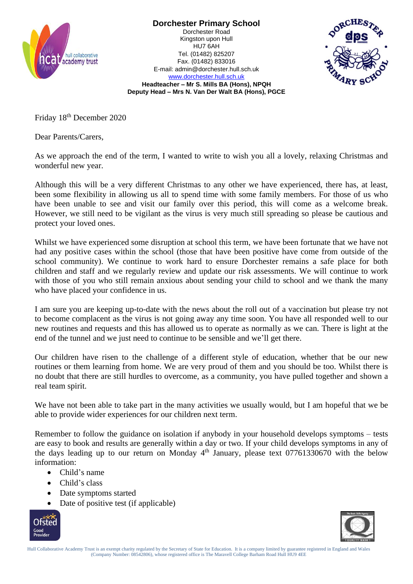

**Dorchester Primary School** Dorchester Road Kingston upon Hull HU7 6AH Tel. (01482) 825207

[www.dorchester.hull.sch.uk](http://www.dorchester.hull.sch.uk/) **Headteacher – Mr S. Mills BA (Hons), NPQH Deputy Head – Mrs N. Van Der Walt BA (Hons), PGCE**

Fax. (01482) 833016 E-mail: admin@dorchester.hull.sch.uk

Friday 18th December 2020

Dear Parents/Carers,

As we approach the end of the term, I wanted to write to wish you all a lovely, relaxing Christmas and wonderful new year.

Although this will be a very different Christmas to any other we have experienced, there has, at least, been some flexibility in allowing us all to spend time with some family members. For those of us who have been unable to see and visit our family over this period, this will come as a welcome break. However, we still need to be vigilant as the virus is very much still spreading so please be cautious and protect your loved ones.

Whilst we have experienced some disruption at school this term, we have been fortunate that we have not had any positive cases within the school (those that have been positive have come from outside of the school community). We continue to work hard to ensure Dorchester remains a safe place for both children and staff and we regularly review and update our risk assessments. We will continue to work with those of you who still remain anxious about sending your child to school and we thank the many who have placed your confidence in us.

I am sure you are keeping up-to-date with the news about the roll out of a vaccination but please try not to become complacent as the virus is not going away any time soon. You have all responded well to our new routines and requests and this has allowed us to operate as normally as we can. There is light at the end of the tunnel and we just need to continue to be sensible and we'll get there.

Our children have risen to the challenge of a different style of education, whether that be our new routines or them learning from home. We are very proud of them and you should be too. Whilst there is no doubt that there are still hurdles to overcome, as a community, you have pulled together and shown a real team spirit.

We have not been able to take part in the many activities we usually would, but I am hopeful that we be able to provide wider experiences for our children next term.

Remember to follow the guidance on isolation if anybody in your household develops symptoms – tests are easy to book and results are generally within a day or two. If your child develops symptoms in any of the days leading up to our return on Monday  $4<sup>th</sup>$  January, please text 07761330670 with the below information:

- Child's name
- Child's class
- Date symptoms started
- Date of positive test (if applicable)